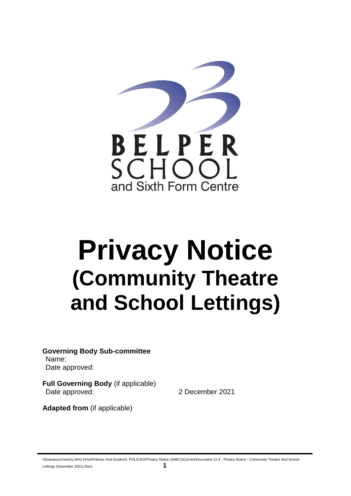

# **Privacy Notice (Community Theatre and School Lettings)**

**Governing Body Sub-committee** Name: Date approved:

**Full Governing Body** (if applicable) Date approved: 2 December 2021

**Adapted from** (if applicable)

\\Downpour\Users\Lmh\U Drive\Policies And Guides\3. POLICIES\Privacy Notice (SMEC)\Current\Document 12.4 - Privacy Notice - Community Theatre And School Lettings (December 2021).Docx **1**